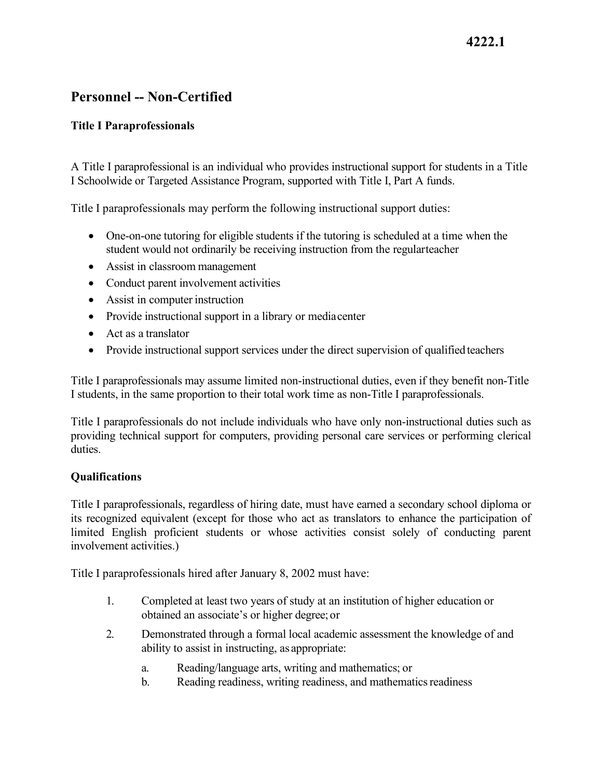## **4222.1**

## **Personnel -- Non-Certified**

### **Title I Paraprofessionals**

A Title I paraprofessional is an individual who provides instructional support for students in a Title I Schoolwide or Targeted Assistance Program, supported with Title I, Part A funds.

Title I paraprofessionals may perform the following instructional support duties:

- • One-on-one tutoring for eligible students if the tutoring is scheduled at a time when the student would not ordinarily be receiving instruction from the regularteacher
- Assist in classroom management
- Conduct parent involvement activities
- Assist in computer instruction
- Provide instructional support in a library or mediacenter
- Act as a translator
- Provide instructional support services under the direct supervision of qualified teachers

Title I paraprofessionals may assume limited non-instructional duties, even if they benefit non-Title I students, in the same proportion to their total work time as non-Title I paraprofessionals.

Title I paraprofessionals do not include individuals who have only non-instructional duties such as providing technical support for computers, providing personal care services or performing clerical duties.

#### **Qualifications**

Title I paraprofessionals, regardless of hiring date, must have earned a secondary school diploma or its recognized equivalent (except for those who act as translators to enhance the participation of limited English proficient students or whose activities consist solely of conducting parent involvement activities.)

Title I paraprofessionals hired after January 8, 2002 must have:

- 1. Completed at least two years of study at an institution of higher education or obtained an associate's or higher degree; or
- ability to assist in instructing, as appropriate: 2. Demonstrated through a formal local academic assessment the knowledge of and
	- a. Reading/language arts, writing and mathematics; or
	- b. Reading readiness, writing readiness, and mathematics readiness